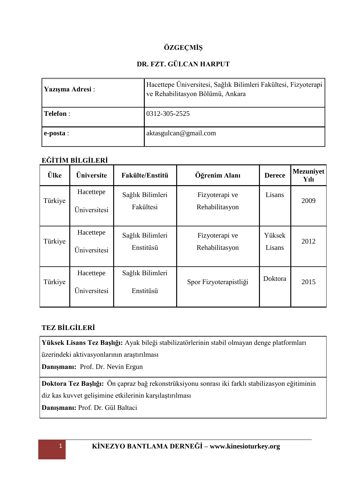# **ÖZGEÇMİŞ**

# **DR. FZT. GÜLCAN HARPUT**

| Yazışma Adresi : | Hacettepe Üniversitesi, Sağlık Bilimleri Fakültesi, Fizyoterapi<br>ve Rehabilitasyon Bölümü, Ankara |
|------------------|-----------------------------------------------------------------------------------------------------|
| <b>Telefon</b> : | 0312-305-2525                                                                                       |
| $\leq$ e-posta : | aktasgulcan@gmail.com                                                                               |

### **EĞİTİM BİLGİLERİ**

| Ülke    | Üniversite                | <b>Fakülte/Enstitü</b>        | Öğrenim Alanı                    | <b>Derece</b>    | <b>Mezuniyet</b><br>Yılı |
|---------|---------------------------|-------------------------------|----------------------------------|------------------|--------------------------|
| Türkiye | Hacettepe<br>Üniversitesi | Sağlık Bilimleri<br>Fakültesi | Fizyoterapi ve<br>Rehabilitasyon | Lisans           | 2009                     |
| Türkiye | Hacettepe<br>Üniversitesi | Sağlık Bilimleri<br>Enstitüsü | Fizyoterapi ve<br>Rehabilitasyon | Yüksek<br>Lisans | 2012                     |
| Türkiye | Hacettepe<br>Üniversitesi | Sağlık Bilimleri<br>Enstitüsü | Spor Fizyoterapistliği           | Doktora          | 2015                     |

# **TEZ BİLGİLERİ**

**Yüksek Lisans Tez Başlığı:** Ayak bileği stabilizatörlerinin stabil olmayan denge platformları üzerindeki aktivasyonlarının araştırılması

**Danışmanı:** Prof. Dr. Nevin Ergun

**Doktora Tez Başlığı:** Ön çapraz bağ rekonstrüksiyonu sonrası iki farklı stabilizasyon eğitiminin diz kas kuvvet gelişimine etkilerinin karşılaştırılması

**Danışmanı:** Prof. Dr. Gül Baltaci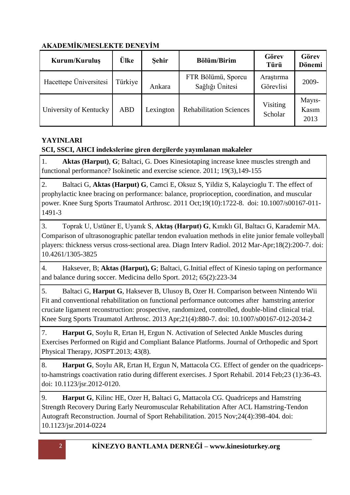# **AKADEMİK/MESLEKTE DENEYİM**

| Kurum/Kuruluş          | <b>Ülke</b> | <b>Sehir</b> | <b>Bölüm/Birim</b>                    | Görev<br>Türü          | Görev<br>Dönemi                      |
|------------------------|-------------|--------------|---------------------------------------|------------------------|--------------------------------------|
| Hacettepe Üniversitesi | Türkiye     | Ankara       | FTR Bölümü, Sporcu<br>Sağlığı Ünitesi | Araştırma<br>Görevlisi | 2009-                                |
| University of Kentucky | <b>ABD</b>  | Lexington    | <b>Rehabilitation Sciences</b>        | Visiting<br>Scholar    | May <sub>1</sub> s-<br>Kasım<br>2013 |

# **YAYINLARI**

# **SCI, SSCI, AHCI indekslerine giren dergilerde yayımlanan makaleler**

1. **Aktas (Harput)**, **G**; Baltaci, G. Does Kinesiotaping increase knee muscles strength and functional performance? Isokinetic and exercise science. 2011; 19(3),149-155

2. Baltaci G, **Aktas (Harput) G**, Camci E, Oksuz S, Yildiz S, Kalaycioglu T. The effect of prophylactic knee bracing on performance: balance, proprioception, coordination, and muscular power. Knee Surg Sports Traumatol Arthrosc. 2011 Oct;19(10):1722-8. doi: 10.1007/s00167-011- 1491-3

3. Toprak U, Ustüner E, Uyanık S, **Aktaş (Harput) G**, Kınıklı GI, Baltacı G, Karademir MA. Comparison of ultrasonographic patellar tendon evaluation methods in elite junior female volleyball players: thickness versus cross-sectional area. Diagn Interv Radiol. 2012 Mar-Apr;18(2):200-7. doi: 10.4261/1305-3825

4. Haksever, B; **Aktas (Harput), G**; Baltaci, G.Initial effect of Kinesio taping on performance and balance during soccer. Medicina dello Sport. 2012; 65(2):223-34

5. Baltaci G, **Harput G**, Haksever B, Ulusoy B, Ozer H. Comparison between Nintendo Wii Fit and conventional rehabilitation on functional performance outcomes after hamstring anterior cruciate ligament reconstruction: prospective, randomized, controlled, double-blind clinical trial. Knee Surg Sports Traumatol Arthrosc. 2013 Apr;21(4):880-7. doi: 10.1007/s00167-012-2034-2

7. **Harput G**, Soylu R, Ertan H, Ergun N. Activation of Selected Ankle Muscles during Exercises Performed on Rigid and Compliant Balance Platforms. Journal of Orthopedic and Sport Physical Therapy, JOSPT.2013; 43(8).

8. **Harput G**, Soylu AR, Ertan H, Ergun N, Mattacola CG. Effect of gender on the quadricepsto-hamstrings coactivation ratio during different exercises. J Sport Rehabil. 2014 Feb;23 (1):36-43. doi: 10.1123/jsr.2012-0120.

9. **Harput G**, Kilinc HE, Ozer H, Baltaci G, Mattacola CG. Quadriceps and Hamstring Strength Recovery During Early Neuromuscular Rehabilitation After ACL Hamstring-Tendon Autograft Reconstruction. Journal of Sport Rehabilitation. 2015 Nov;24(4):398-404. doi: 10.1123/jsr.2014-0224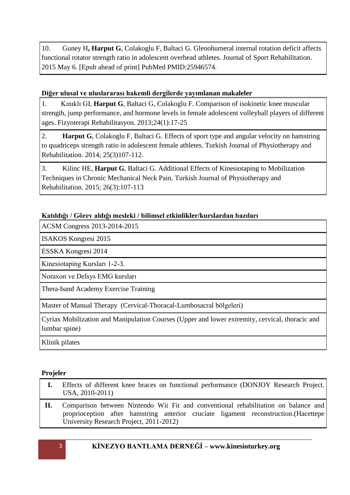10. Guney H**, Harput G**, Colakoglu F, Baltaci G. Glenohumeral internal rotation deficit affects functional rotator strength ratio in adolescent overhead athletes. Journal of Sport Rehabilitation. 2015 May 6. [Epub ahead of print] PubMed PMID:25946574.

#### **Diğer ulusal ve uluslararası hakemli dergilerde yayımlanan makaleler**

1. Kınıklı GI, **Harput G**, Baltaci G, Colakoglu F. Comparison of isokinetic knee muscular strength, jump performance, and hormone levels in female adolescent volleyball players of different ages. Fizyoterapi Rehabilitasyon. 2013;24(1):17-25

2. **Harput G**, Colakoglu F, Baltaci G. Effects of sport type and angular velocity on hamstring to quadriceps strength ratio in adolescent female athletes. Turkish Journal of Physiotherapy and Rehabilitation. 2014; 25(3)107-112.

3. Kilinc HE, **Harput G**, Baltaci G. Additional Effects of Kinesiotaping to Mobilization Techniques in Chronic Mechanical Neck Pain. Turkish Journal of Physiotherapy and Rehabilitation. 2015; 26(3):107-113

### **Katıldığı / Görev aldığı mesleki / bilimsel etkinlikler/kurslardan bazıları**

ACSM Congress 2013-2014-2015

ISAKOS Kongresi 2015

ESSKA Kongresi 2014

Kinesiotaping Kursları 1-2-3.

Noraxon ve Delsys EMG kursları

Thera-band Academy Exercise Training

Master of Manual Therapy (Cervical-Thoracal-Lumbosacral bölgeleri)

Cyriax Mobilization and Manipulation Courses (Upper and lower extremity, cervical, thoracic and lumbar spine)

Klinik pilates

#### **Projeler**

|       | Effects of different knee braces on functional performance (DONJOY Research Project.)<br>USA, 2010-2011)                                                                                                               |
|-------|------------------------------------------------------------------------------------------------------------------------------------------------------------------------------------------------------------------------|
| - II. | Comparison between Nintendo Wii Fit and conventional rehabilitation on balance and<br>proprioception after hamstring anterior cruciate ligament reconstruction. (Hacettepe)<br>University Research Project, 2011-2012) |